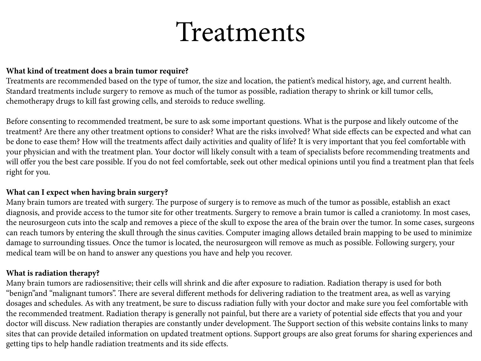# Treatments

#### **What kind of treatment does a brain tumor require?**

Treatments are recommended based on the type of tumor, the size and location, the patient's medical history, age, and current health. Standard treatments include surgery to remove as much of the tumor as possible, radiation therapy to shrink or kill tumor cells, chemotherapy drugs to kill fast growing cells, and steroids to reduce swelling.

Before consenting to recommended treatment, be sure to ask some important questions. What is the purpose and likely outcome of the treatment? Are there any other treatment options to consider? What are the risks involved? What side effects can be expected and what can be done to ease them? How will the treatments affect daily activities and quality of life? It is very important that you feel comfortable with your physician and with the treatment plan. Your doctor will likely consult with a team of specialists before recommending treatments and will offer you the best care possible. If you do not feel comfortable, seek out other medical opinions until you find a treatment plan that feels right for you.

## **What can I expect when having brain surgery?**

Many brain tumors are treated with surgery. The purpose of surgery is to remove as much of the tumor as possible, establish an exact diagnosis, and provide access to the tumor site for other treatments. Surgery to remove a brain tumor is called a craniotomy. In most cases, the neurosurgeon cuts into the scalp and removes a piece of the skull to expose the area of the brain over the tumor. In some cases, surgeons can reach tumors by entering the skull through the sinus cavities. Computer imaging allows detailed brain mapping to be used to minimize damage to surrounding tissues. Once the tumor is located, the neurosurgeon will remove as much as possible. Following surgery, your medical team will be on hand to answer any questions you have and help you recover.

## **What is radiation therapy?**

Many brain tumors are radiosensitive; their cells will shrink and die after exposure to radiation. Radiation therapy is used for both "benign"and "malignant tumors". There are several different methods for delivering radiation to the treatment area, as well as varying dosages and schedules. As with any treatment, be sure to discuss radiation fully with your doctor and make sure you feel comfortable with the recommended treatment. Radiation therapy is generally not painful, but there are a variety of potential side effects that you and your doctor will discuss. New radiation therapies are constantly under development. The Support section of this website contains links to many sites that can provide detailed information on updated treatment options. Support groups are also great forums for sharing experiences and getting tips to help handle radiation treatments and its side effects.